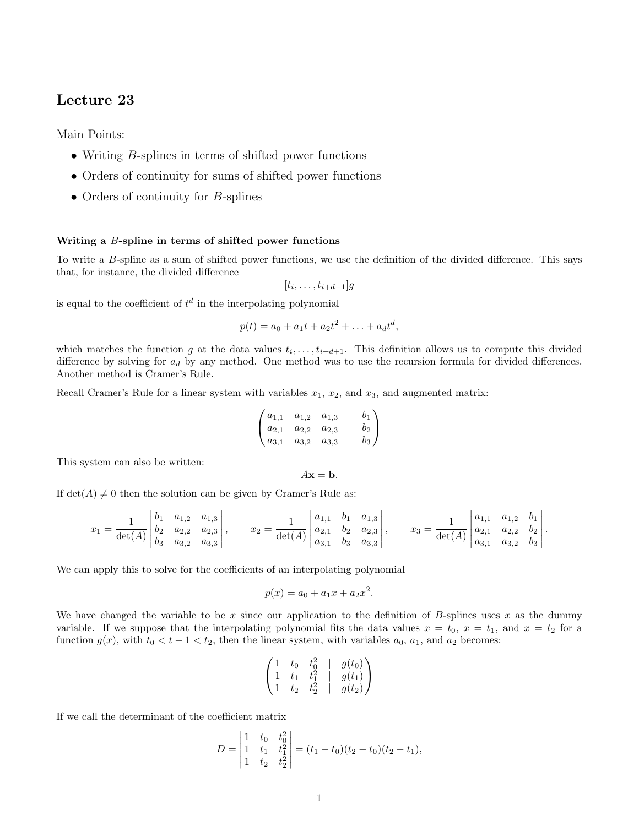# Lecture 23

Main Points:

- Writing  $B$ -splines in terms of shifted power functions
- Orders of continuity for sums of shifted power functions
- Orders of continuity for *B*-splines

## Writing a B-spline in terms of shifted power functions

To write a B-spline as a sum of shifted power functions, we use the definition of the divided difference. This says that, for instance, the divided difference

$$
[t_i,\ldots,t_{i+d+1}]g
$$

is equal to the coefficient of  $t^d$  in the interpolating polynomial

$$
p(t) = a_0 + a_1t + a_2t^2 + \ldots + a_dt^d,
$$

which matches the function g at the data values  $t_i, \ldots, t_{i+d+1}$ . This definition allows us to compute this divided difference by solving for  $a_d$  by any method. One method was to use the recursion formula for divided differences. Another method is Cramer's Rule.

Recall Cramer's Rule for a linear system with variables  $x_1, x_2$ , and  $x_3$ , and augmented matrix:

$$
\begin{pmatrix} a_{1,1} & a_{1,2} & a_{1,3} & b_1 \ a_{2,1} & a_{2,2} & a_{2,3} & b_2 \ a_{3,1} & a_{3,2} & a_{3,3} & b_3 \end{pmatrix}
$$

This system can also be written:

 $A\mathbf{x} = \mathbf{b}$ .

If  $\det(A) \neq 0$  then the solution can be given by Cramer's Rule as:

$$
x_1 = \frac{1}{\det(A)} \begin{vmatrix} b_1 & a_{1,2} & a_{1,3} \\ b_2 & a_{2,2} & a_{2,3} \\ b_3 & a_{3,2} & a_{3,3} \end{vmatrix}, \qquad x_2 = \frac{1}{\det(A)} \begin{vmatrix} a_{1,1} & b_1 & a_{1,3} \\ a_{2,1} & b_2 & a_{2,3} \\ a_{3,1} & b_3 & a_{3,3} \end{vmatrix}, \qquad x_3 = \frac{1}{\det(A)} \begin{vmatrix} a_{1,1} & a_{1,2} & b_1 \\ a_{2,1} & a_{2,2} & b_2 \\ a_{3,1} & a_{3,2} & b_3 \end{vmatrix}.
$$

We can apply this to solve for the coefficients of an interpolating polynomial

$$
p(x) = a_0 + a_1 x + a_2 x^2.
$$

We have changed the variable to be x since our application to the definition of B-splines uses x as the dummy variable. If we suppose that the interpolating polynomial fits the data values  $x = t_0$ ,  $x = t_1$ , and  $x = t_2$  for a function  $g(x)$ , with  $t_0 < t - 1 < t_2$ , then the linear system, with variables  $a_0, a_1$ , and  $a_2$  becomes:

$$
\begin{pmatrix} 1 & t_0 & t_0^2 & | & g(t_0) \\ 1 & t_1 & t_1^2 & | & g(t_1) \\ 1 & t_2 & t_2^2 & | & g(t_2) \end{pmatrix}
$$

If we call the determinant of the coefficient matrix

$$
D = \begin{vmatrix} 1 & t_0 & t_0^2 \\ 1 & t_1 & t_1^2 \\ 1 & t_2 & t_2^2 \end{vmatrix} = (t_1 - t_0)(t_2 - t_0)(t_2 - t_1),
$$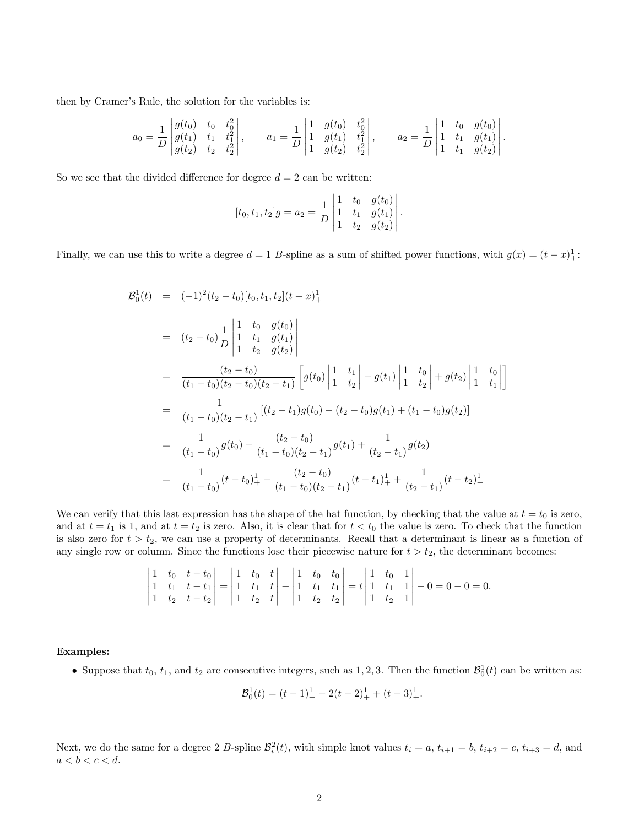then by Cramer's Rule, the solution for the variables is:

$$
a_0 = \frac{1}{D} \begin{vmatrix} g(t_0) & t_0 & t_0^2 \\ g(t_1) & t_1 & t_1^2 \\ g(t_2) & t_2 & t_2^2 \end{vmatrix}, \qquad a_1 = \frac{1}{D} \begin{vmatrix} 1 & g(t_0) & t_0^2 \\ 1 & g(t_1) & t_1^2 \\ 1 & g(t_2) & t_2^2 \end{vmatrix}, \qquad a_2 = \frac{1}{D} \begin{vmatrix} 1 & t_0 & g(t_0) \\ 1 & t_1 & g(t_1) \\ 1 & t_1 & g(t_2) \end{vmatrix}.
$$

So we see that the divided difference for degree  $d = 2$  can be written:

$$
[t_0, t_1, t_2]g = a_2 = \frac{1}{D} \begin{vmatrix} 1 & t_0 & g(t_0) \\ 1 & t_1 & g(t_1) \\ 1 & t_2 & g(t_2) \end{vmatrix}.
$$

Finally, we can use this to write a degree  $d = 1$  B-spline as a sum of shifted power functions, with  $g(x) = (t - x)^{1}_{+}$ :

$$
B_0^1(t) = (-1)^2 (t_2 - t_0) [t_0, t_1, t_2] (t - x)_+^1
$$
  
\n
$$
= (t_2 - t_0) \frac{1}{D} \begin{vmatrix} 1 & t_0 & g(t_0) \\ 1 & t_1 & g(t_1) \\ 1 & t_2 & g(t_2) \end{vmatrix}
$$
  
\n
$$
= \frac{(t_2 - t_0)}{(t_1 - t_0)(t_2 - t_0)(t_2 - t_1)} \begin{bmatrix} g(t_0) & 1 & t_1 \\ 1 & t_2 & g(t_1) \end{bmatrix} + \frac{t_0}{2} \begin{vmatrix} 1 & t_0 \\ 1 & t_2 \end{vmatrix}
$$
  
\n
$$
= \frac{1}{(t_1 - t_0)(t_2 - t_1)} [(t_2 - t_1)g(t_0) - (t_2 - t_0)g(t_1) + (t_1 - t_0)g(t_2)]
$$
  
\n
$$
= \frac{1}{(t_1 - t_0)} g(t_0) - \frac{(t_2 - t_0)}{(t_1 - t_0)(t_2 - t_1)} g(t_1) + \frac{1}{(t_2 - t_1)} g(t_2)
$$
  
\n
$$
= \frac{1}{(t_1 - t_0)} (t - t_0)_+^1 - \frac{(t_2 - t_0)}{(t_1 - t_0)(t_2 - t_1)} (t - t_1)_+^1 + \frac{1}{(t_2 - t_1)} (t - t_2)_+^1
$$

1

We can verify that this last expression has the shape of the hat function, by checking that the value at  $t = t_0$  is zero, and at  $t = t_1$  is 1, and at  $t = t_2$  is zero. Also, it is clear that for  $t < t_0$  the value is zero. To check that the function is also zero for  $t > t_2$ , we can use a property of determinants. Recall that a determinant is linear as a function of any single row or column. Since the functions lose their piecewise nature for  $t > t_2$ , the determinant becomes:

$$
\begin{vmatrix} 1 & t_0 & t - t_0 \ 1 & t_1 & t - t_1 \ 1 & t_2 & t - t_2 \end{vmatrix} = \begin{vmatrix} 1 & t_0 & t \ 1 & t_1 & t \ 1 & t_2 & t \end{vmatrix} - \begin{vmatrix} 1 & t_0 & t_0 \ 1 & t_1 & t_1 \ 1 & t_2 & t_2 \end{vmatrix} = t \begin{vmatrix} 1 & t_0 & 1 \ 1 & t_1 & 1 \ 1 & t_2 & 1 \end{vmatrix} - 0 = 0 - 0 = 0.
$$

#### Examples:

• Suppose that  $t_0$ ,  $t_1$ , and  $t_2$  are consecutive integers, such as 1, 2, 3. Then the function  $\mathcal{B}_0^1(t)$  can be written as:

$$
\mathcal{B}_0^1(t) = (t-1)_+^1 - 2(t-2)_+^1 + (t-3)_+^1.
$$

Next, we do the same for a degree 2 B-spline  $\mathcal{B}_i^2(t)$ , with simple knot values  $t_i = a$ ,  $t_{i+1} = b$ ,  $t_{i+2} = c$ ,  $t_{i+3} = d$ , and  $a < b < c < d$ .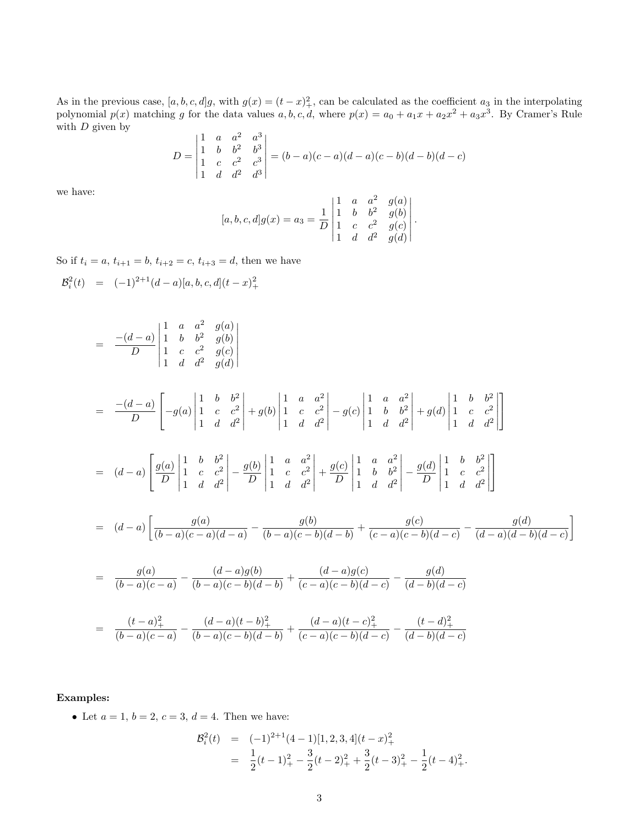As in the previous case,  $[a, b, c, d]g$ , with  $g(x) = (t - x)^2$ , can be calculated as the coefficient  $a_3$  in the interpolating polynomial  $p(x)$  matching g for the data values  $a, b, c, d$ , where  $p(x) = a_0 + a_1x + a_2x^2 + a_3x^3$ . By Cramer's Rule with  $D$  given by

$$
D = \begin{vmatrix} 1 & a & a^2 & a^3 \\ 1 & b & b^2 & b^3 \\ 1 & c & c^2 & c^3 \\ 1 & d & d^2 & d^3 \end{vmatrix} = (b-a)(c-a)(d-a)(c-b)(d-b)(d-c)
$$

we have:

$$
[a, b, c, d]g(x) = a_3 = \frac{1}{D} \begin{vmatrix} 1 & a & a^2 & g(a) \\ 1 & b & b^2 & g(b) \\ 1 & c & c^2 & g(c) \\ 1 & d & d^2 & g(d) \end{vmatrix}.
$$

So if  $t_i = a, t_{i+1} = b, t_{i+2} = c, t_{i+3} = d$ , then we have

$$
B_i^2(t) = (-1)^{2+1} (d-a)[a, b, c, d](t - x)_+^2
$$
  
\n
$$
= \frac{-(d-a)}{D} \begin{vmatrix} 1 & a & a^2 & g(a) \\ 1 & b & b^2 & g(b) \\ 1 & c & c^2 & g(c) \end{vmatrix}
$$
  
\n
$$
= \frac{-(d-a)}{D} \begin{bmatrix} 1 & b & b^2 \\ -g(a) & 1 & c & c^2 \\ 1 & d & d^2 \end{bmatrix} + g(b) \begin{vmatrix} 1 & a & a^2 \\ 1 & c & c^2 \\ 1 & d & d^2 \end{vmatrix} - g(c) \begin{vmatrix} 1 & a & a^2 \\ 1 & b & b^2 \\ 1 & d & d^2 \end{vmatrix} + g(d) \begin{vmatrix} 1 & b & b^2 \\ 1 & c & c^2 \\ 1 & d & d^2 \end{vmatrix}
$$
  
\n
$$
= (d-a) \begin{bmatrix} g(a) & 1 & b & b^2 \\ \frac{f(a)}{D} & 1 & c & c^2 \\ 1 & d & d^2 \end{bmatrix} - \frac{g(b)}{D} \begin{vmatrix} 1 & a & a^2 \\ 1 & c & c^2 \\ 1 & d & d^2 \end{vmatrix} + \frac{g(c)}{D} \begin{vmatrix} 1 & a & a^2 \\ 1 & b & b^2 \\ 1 & d & d^2 \end{vmatrix} - \frac{g(d)}{D} \begin{vmatrix} 1 & b & b^2 \\ 1 & c & c^2 \\ 1 & d & d^2 \end{vmatrix}
$$
  
\n
$$
= (d-a) \begin{bmatrix} g(a) & g(a) & g(b) \\ \frac{g(a)}{(b-a)(c-a)(d-a)} - \frac{g(b)}{(b-a)(c-b)(d-b)} + \frac{g(c)}{(c-a)(c-b)(d-c)} - \frac{g(d)}{(d-a)(d-b)(d-c)} \end{bmatrix}
$$

$$
= \frac{g(a)}{(b-a)(c-a)} - \frac{(d-a)g(b)}{(b-a)(c-b)(d-b)} + \frac{(d-a)g(c)}{(c-a)(c-b)(d-c)} - \frac{g(d)}{(d-b)(d-c)}
$$

$$
= \frac{(t-a)_+^2}{(b-a)(c-a)} - \frac{(d-a)(t-b)_+^2}{(b-a)(c-b)(d-b)} + \frac{(d-a)(t-c)_+^2}{(c-a)(c-b)(d-c)} - \frac{(t-d)_+^2}{(d-b)(d-c)}
$$

## Examples:

• Let  $a = 1, b = 2, c = 3, d = 4$ . Then we have:

$$
\mathcal{B}_i^2(t) = (-1)^{2+1}(4-1)[1,2,3,4](t-x)_+^2
$$
  
= 
$$
\frac{1}{2}(t-1)_+^2 - \frac{3}{2}(t-2)_+^2 + \frac{3}{2}(t-3)_+^2 - \frac{1}{2}(t-4)_+^2.
$$

1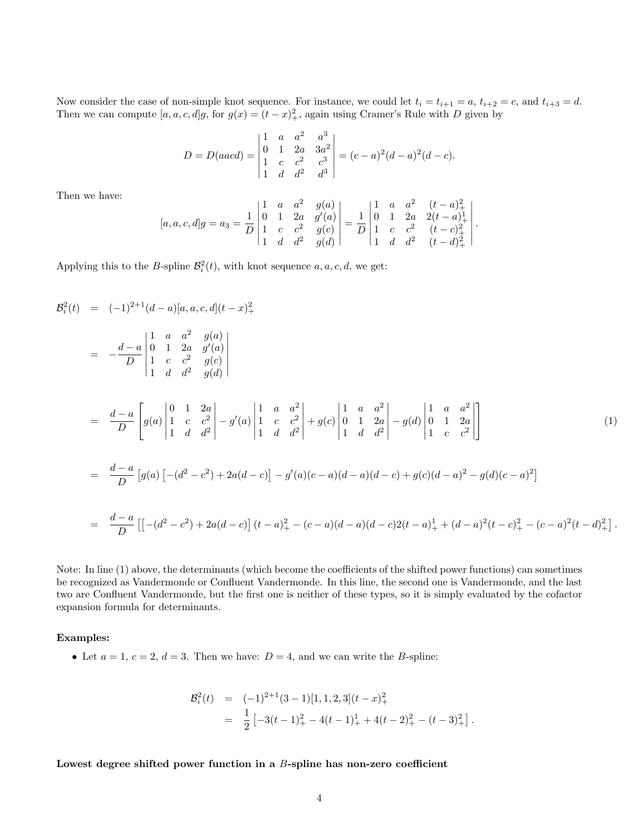Now consider the case of non-simple knot sequence. For instance, we could let  $t_i = t_{i+1} = a$ ,  $t_{i+2} = c$ , and  $t_{i+3} = d$ . Then we can compute  $[a, a, c, d]g$ , for  $g(x) = (t - x)_+^2$ , again using Cramer's Rule with D given by

$$
D = D(aacd) = \begin{vmatrix} 1 & a & a^2 & a^3 \\ 0 & 1 & 2a & 3a^2 \\ 1 & c & c^2 & c^3 \\ 1 & d & d^2 & d^3 \end{vmatrix} = (c-a)^2(d-a)^2(d-c).
$$

Then we have:

$$
[a, a, c, d]g = a_3 = \frac{1}{D} \begin{vmatrix} 1 & a & a^2 & g(a) \\ 0 & 1 & 2a & g'(a) \\ 1 & c & c^2 & g(c) \\ 1 & d & d^2 & g(d) \end{vmatrix} = \frac{1}{D} \begin{vmatrix} 1 & a & a^2 & (t-a)_+^2 \\ 0 & 1 & 2a & 2(t-a)_+^1 \\ 1 & c & c^2 & (t-c)_+^2 \\ 1 & d & d^2 & (t-d)_+^2 \end{vmatrix}.
$$

Applying this to the B-spline  $\mathcal{B}_i^2(t)$ , with knot sequence  $a, a, c, d$ , we get:

$$
B_i^2(t) = (-1)^{2+1} (d - a) [a, a, c, d] (t - x)_+^2
$$
  
\n
$$
= -\frac{d - a}{D} \begin{vmatrix} 1 & a & a^2 & g(a) \\ 0 & 1 & 2a & g'(a) \\ 1 & c & c^2 & g(c) \\ 1 & d & d^2 & g(d) \end{vmatrix}
$$
  
\n
$$
= \frac{d - a}{D} \begin{bmatrix} g(a) \begin{vmatrix} 0 & 1 & 2a \\ 1 & c & c^2 \\ 1 & d & d^2 \end{vmatrix} - g'(a) \begin{vmatrix} 1 & a & a^2 \\ 1 & c & c^2 \\ 1 & d & d^2 \end{vmatrix} + g(c) \begin{vmatrix} 1 & a & a^2 \\ 0 & 1 & 2a \\ 1 & d & d^2 \end{vmatrix} - g(d) \begin{vmatrix} 1 & a & a^2 \\ 0 & 1 & 2a \\ 1 & c & c^2 \end{vmatrix}
$$
(1)  
\n
$$
= \frac{d - a}{D} [g(a) [-(d^2 - c^2) + 2a(d - c)] - g'(a)(c - a)(d - a)(d - c) + g(c)(d - a)^2 - g(d)(c - a)^2]
$$
  
\n
$$
= \frac{d - a}{D} [[-(d^2 - c^2) + 2a(d - c)] (t - a)_+^2 - (c - a)(d - a)(d - c)2(t - a)_+^2 + (d - a)^2(t - c)_+^2 - (c - a)^2(t - d)_+^2].
$$

Note: In line (1) above, the determinants (which become the coefficients of the shifted power functions) can sometimes be recognized as Vandermonde or Confluent Vandermonde. In this line, the second one is Vandermonde, and the last two are Confluent Vandermonde, but the first one is neither of these types, so it is simply evaluated by the cofactor expansion formula for determinants.

## Examples:

• Let  $a = 1, c = 2, d = 3$ . Then we have:  $D = 4$ , and we can write the B-spline:

$$
\mathcal{B}_i^2(t) = (-1)^{2+1} (3-1)[1,1,2,3](t-x)_+^2
$$
  
= 
$$
\frac{1}{2} [-3(t-1)_+^2 - 4(t-1)_+^1 + 4(t-2)_+^2 - (t-3)_+^2].
$$

Lowest degree shifted power function in a B-spline has non-zero coefficient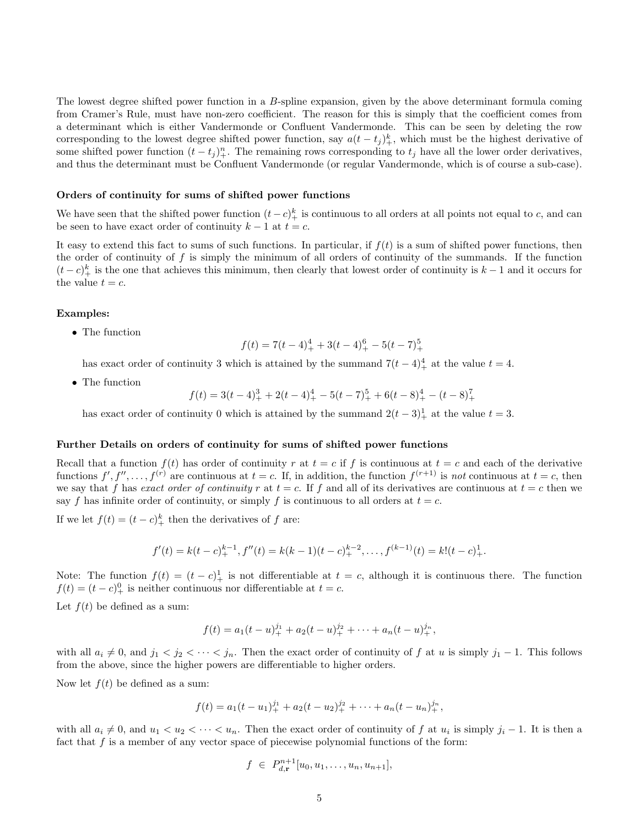The lowest degree shifted power function in a B-spline expansion, given by the above determinant formula coming from Cramer's Rule, must have non-zero coefficient. The reason for this is simply that the coefficient comes from a determinant which is either Vandermonde or Confluent Vandermonde. This can be seen by deleting the row corresponding to the lowest degree shifted power function, say  $a(t - t_j)_+^k$ , which must be the highest derivative of some shifted power function  $(t - t_j)_+^n$ . The remaining rows corresponding to  $t_j$  have all the lower order derivatives, and thus the determinant must be Confluent Vandermonde (or regular Vandermonde, which is of course a sub-case).

#### Orders of continuity for sums of shifted power functions

We have seen that the shifted power function  $(t-c)^k_+$  is continuous to all orders at all points not equal to c, and can be seen to have exact order of continuity  $k - 1$  at  $t = c$ .

It easy to extend this fact to sums of such functions. In particular, if  $f(t)$  is a sum of shifted power functions, then the order of continuity of f is simply the minimum of all orders of continuity of the summands. If the function  $(t-c)^k$  is the one that achieves this minimum, then clearly that lowest order of continuity is  $k-1$  and it occurs for the value  $t = c$ .

#### Examples:

• The function

$$
f(t) = 7(t - 4)^4 + 3(t - 4)^6 + 5(t - 7)^5 +
$$

has exact order of continuity 3 which is attained by the summand  $7(t-4)<sup>4</sup>$  at the value  $t = 4$ .

• The function

$$
f(t) = 3(t-4)^3 + 2(t-4)^4 + 5(t-7)^5 + 6(t-8)^4 + (t-8)^7
$$

has exact order of continuity 0 which is attained by the summand  $2(t-3)<sup>1</sup>$  at the value  $t = 3$ .

#### Further Details on orders of continuity for sums of shifted power functions

Recall that a function  $f(t)$  has order of continuity r at  $t = c$  if f is continuous at  $t = c$  and each of the derivative functions  $f', f'', \ldots, f^{(r)}$  are continuous at  $t = c$ . If, in addition, the function  $f^{(r+1)}$  is not continuous at  $t = c$ , then we say that f has exact order of continuity r at  $t = c$ . If f and all of its derivatives are continuous at  $t = c$  then we say f has infinite order of continuity, or simply f is continuous to all orders at  $t = c$ .

If we let  $f(t) = (t - c)_+^k$  then the derivatives of f are:

$$
f'(t) = k(t-c)_+^{k-1}, f''(t) = k(k-1)(t-c)_+^{k-2}, \dots, f^{(k-1)}(t) = k!(t-c)_+^1.
$$

Note: The function  $f(t) = (t - c)^{1}$  is not differentiable at  $t = c$ , although it is continuous there. The function  $f(t) = (t - c)^0_+$  is neither continuous nor differentiable at  $t = c$ .

Let  $f(t)$  be defined as a sum:

$$
f(t) = a_1(t - u)^{j_1}_{+} + a_2(t - u)^{j_2}_{+} + \cdots + a_n(t - u)^{j_n}_{+},
$$

with all  $a_i \neq 0$ , and  $j_1 < j_2 < \cdots < j_n$ . Then the exact order of continuity of f at u is simply  $j_1 - 1$ . This follows from the above, since the higher powers are differentiable to higher orders.

Now let  $f(t)$  be defined as a sum:

$$
f(t) = a_1(t - u_1)^{j_1} + a_2(t - u_2)^{j_2} + \cdots + a_n(t - u_n)^{j_n},
$$

with all  $a_i \neq 0$ , and  $u_1 < u_2 < \cdots < u_n$ . Then the exact order of continuity of f at  $u_i$  is simply  $j_i - 1$ . It is then a fact that  $f$  is a member of any vector space of piecewise polynomial functions of the form:

$$
f \in P_{d,\mathbf{r}}^{n+1}[u_0, u_1, \dots, u_n, u_{n+1}],
$$